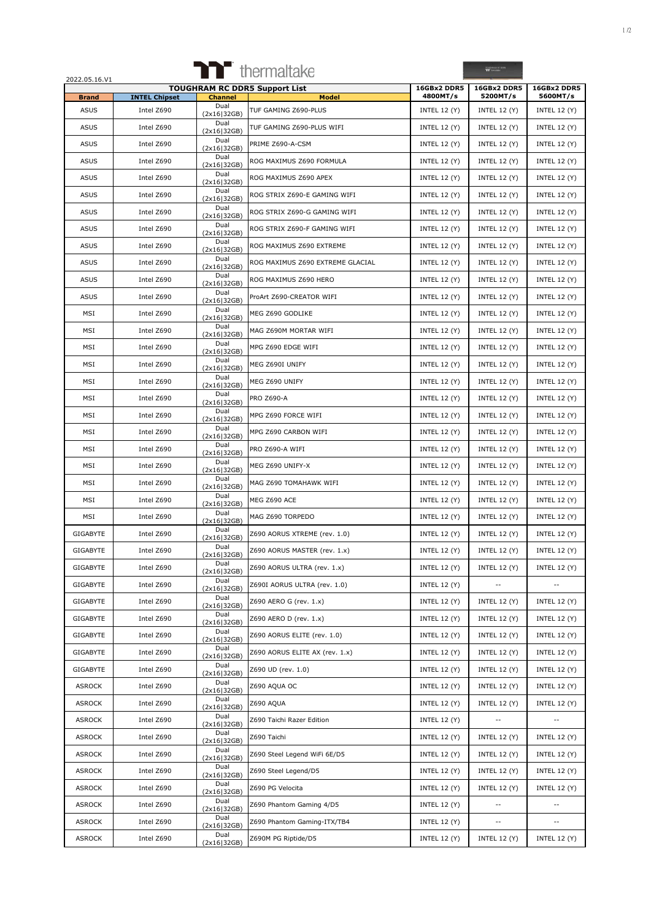|                             |                                    |                        | <b>Thermaltake</b>                   |                                 | <b>YY</b> funds                 |                                 |
|-----------------------------|------------------------------------|------------------------|--------------------------------------|---------------------------------|---------------------------------|---------------------------------|
| 2022.05.16.V1               |                                    |                        | <b>TOUGHRAM RC DDR5 Support List</b> | 16GBx2 DDR5                     | 16GBx2 DDR5                     | 16GBx2 DDR5                     |
| <b>Brand</b><br><b>ASUS</b> | <b>INTEL Chipset</b><br>Intel Z690 | <b>Channel</b><br>Dual | <b>Model</b><br>TUF GAMING Z690-PLUS | 4800MT/s<br><b>INTEL 12 (Y)</b> | 5200MT/s<br><b>INTEL 12 (Y)</b> | 5600MT/s<br><b>INTEL 12 (Y)</b> |
| <b>ASUS</b>                 | Intel Z690                         | (2x16 32GB)<br>Dual    | TUF GAMING Z690-PLUS WIFI            | <b>INTEL 12 (Y)</b>             | <b>INTEL 12 (Y)</b>             | <b>INTEL 12 (Y)</b>             |
| <b>ASUS</b>                 | Intel Z690                         | (2x16 32GB)<br>Dual    | PRIME Z690-A-CSM                     | <b>INTEL 12 (Y)</b>             | <b>INTEL 12 (Y)</b>             | <b>INTEL 12 (Y)</b>             |
| <b>ASUS</b>                 | Intel Z690                         | (2x16 32GB)<br>Dual    | ROG MAXIMUS Z690 FORMULA             | <b>INTEL 12 (Y)</b>             | <b>INTEL 12 (Y)</b>             | INTEL 12 $(Y)$                  |
| <b>ASUS</b>                 | Intel Z690                         | (2x16 32GB)<br>Dual    | ROG MAXIMUS Z690 APEX                | <b>INTEL 12 (Y)</b>             | <b>INTEL 12 (Y)</b>             | <b>INTEL 12 (Y)</b>             |
| <b>ASUS</b>                 | Intel Z690                         | (2x16 32GB)<br>Dual    | ROG STRIX Z690-E GAMING WIFI         | <b>INTEL 12 (Y)</b>             | <b>INTEL 12 (Y)</b>             | <b>INTEL 12 (Y)</b>             |
| <b>ASUS</b>                 | Intel Z690                         | (2x16 32GB)<br>Dual    | ROG STRIX Z690-G GAMING WIFI         | <b>INTEL 12 (Y)</b>             | <b>INTEL 12 (Y)</b>             | <b>INTEL 12 (Y)</b>             |
| <b>ASUS</b>                 | Intel Z690                         | (2x16 32GB)<br>Dual    | ROG STRIX Z690-F GAMING WIFI         | <b>INTEL 12 (Y)</b>             | <b>INTEL 12 (Y)</b>             | <b>INTEL 12 (Y)</b>             |
| <b>ASUS</b>                 | Intel Z690                         | (2x16 32GB)<br>Dual    | ROG MAXIMUS Z690 EXTREME             | <b>INTEL 12 (Y)</b>             | <b>INTEL 12 (Y)</b>             | <b>INTEL 12 (Y)</b>             |
| <b>ASUS</b>                 | Intel Z690                         | (2x16 32GB)<br>Dual    | ROG MAXIMUS Z690 EXTREME GLACIAL     | <b>INTEL 12 (Y)</b>             | <b>INTEL 12 (Y)</b>             | <b>INTEL 12 (Y)</b>             |
| <b>ASUS</b>                 | Intel Z690                         | (2x16 32GB)<br>Dual    | ROG MAXIMUS Z690 HERO                | <b>INTEL 12 (Y)</b>             | <b>INTEL 12 (Y)</b>             | <b>INTEL 12 (Y)</b>             |
| <b>ASUS</b>                 | Intel Z690                         | (2x16 32GB)<br>Dual    |                                      |                                 |                                 | <b>INTEL 12 (Y)</b>             |
|                             |                                    | (2x16 32GB)<br>Dual    | ProArt Z690-CREATOR WIFI             | <b>INTEL 12 (Y)</b>             | <b>INTEL 12 (Y)</b>             |                                 |
| MSI                         | Intel Z690                         | (2x16 32GB)<br>Dual    | MEG Z690 GODLIKE                     | <b>INTEL 12 (Y)</b>             | <b>INTEL 12 (Y)</b>             | <b>INTEL 12 (Y)</b>             |
| MSI                         | Intel Z690                         | (2x16 32GB)<br>Dual    | MAG Z690M MORTAR WIFI                | <b>INTEL 12 (Y)</b>             | <b>INTEL 12 (Y)</b>             | <b>INTEL 12 (Y)</b>             |
| MSI                         | Intel Z690                         | (2x16 32GB)<br>Dual    | MPG Z690 EDGE WIFI                   | <b>INTEL 12 (Y)</b>             | <b>INTEL 12 (Y)</b>             | <b>INTEL 12 (Y)</b>             |
| MSI                         | Intel Z690                         | (2x16 32GB)            | MEG Z690I UNIFY                      | <b>INTEL 12 (Y)</b>             | <b>INTEL 12 (Y)</b>             | <b>INTEL 12 (Y)</b>             |
| MSI                         | Intel Z690                         | Dual<br>(2x16 32GB)    | MEG Z690 UNIFY                       | <b>INTEL 12 (Y)</b>             | <b>INTEL 12 (Y)</b>             | INTEL 12 $(Y)$                  |
| MSI                         | Intel Z690                         | Dual<br>(2x16 32GB)    | PRO Z690-A                           | <b>INTEL 12 (Y)</b>             | <b>INTEL 12 (Y)</b>             | <b>INTEL 12 (Y)</b>             |
| MSI                         | Intel Z690                         | Dual<br>(2x16 32GB)    | MPG Z690 FORCE WIFI                  | <b>INTEL 12 (Y)</b>             | <b>INTEL 12 (Y)</b>             | <b>INTEL 12 (Y)</b>             |
| MSI                         | Intel Z690                         | Dual<br>(2x16 32GB)    | MPG Z690 CARBON WIFI                 | <b>INTEL 12 (Y)</b>             | <b>INTEL 12 (Y)</b>             | <b>INTEL 12 (Y)</b>             |
| MSI                         | Intel Z690                         | Dual<br>(2x16 32GB)    | PRO Z690-A WIFI                      | <b>INTEL 12 (Y)</b>             | <b>INTEL 12 (Y)</b>             | <b>INTEL 12 (Y)</b>             |
| MSI                         | Intel Z690                         | Dual<br>(2x16 32GB)    | MEG Z690 UNIFY-X                     | <b>INTEL 12 (Y)</b>             | INTEL 12 $(Y)$                  | <b>INTEL 12 (Y)</b>             |
| MSI                         | Intel Z690                         | Dual<br>(2x16 32GB)    | MAG Z690 TOMAHAWK WIFI               | <b>INTEL 12 (Y)</b>             | <b>INTEL 12 (Y)</b>             | <b>INTEL 12 (Y)</b>             |
| MSI                         | Intel Z690                         | Dual<br>(2x16 32GB)    | MEG Z690 ACE                         | <b>INTEL 12 (Y)</b>             | <b>INTEL 12 (Y)</b>             | <b>INTEL 12 (Y)</b>             |
| MSI                         | Intel Z690                         | Dual<br>(2x16 32GB)    | MAG Z690 TORPEDO                     | <b>INTEL 12 (Y)</b>             | <b>INTEL 12 (Y)</b>             | <b>INTEL 12 (Y)</b>             |
| <b>GIGABYTE</b>             | Intel Z690                         | Dual<br>(2x16 32GB)    | Z690 AORUS XTREME (rev. 1.0)         | <b>INTEL 12 (Y)</b>             | <b>INTEL 12 (Y)</b>             | <b>INTEL 12 (Y)</b>             |
| GIGABYTE                    | Intel Z690                         | Dual<br>(2x16 32GB)    | Z690 AORUS MASTER (rev. 1.x)         | <b>INTEL 12 (Y)</b>             | <b>INTEL 12 (Y)</b>             | <b>INTEL 12 (Y)</b>             |
| GIGABYTE                    | Intel Z690                         | Dual<br>(2x16 32GB)    | Z690 AORUS ULTRA (rev. 1.x)          | <b>INTEL 12 (Y)</b>             | <b>INTEL 12 (Y)</b>             | INTEL 12 $(Y)$                  |
| GIGABYTE                    | Intel Z690                         | Dual<br>(2x16 32GB)    | Z690I AORUS ULTRA (rev. 1.0)         | <b>INTEL 12 (Y)</b>             |                                 |                                 |
| GIGABYTE                    | Intel Z690                         | Dual<br>(2x16 32GB)    | Z690 AERO G (rev. 1.x)               | <b>INTEL 12 (Y)</b>             | <b>INTEL 12 (Y)</b>             | <b>INTEL 12 (Y)</b>             |
| GIGABYTE                    | Intel Z690                         | Dual<br>(2x16 32GB)    | Z690 AERO D (rev. 1.x)               | <b>INTEL 12 (Y)</b>             | <b>INTEL 12 (Y)</b>             | <b>INTEL 12 (Y)</b>             |
| GIGABYTE                    | Intel Z690                         | Dual<br>(2x16 32GB)    | Z690 AORUS ELITE (rev. 1.0)          | <b>INTEL 12 (Y)</b>             | <b>INTEL 12 (Y)</b>             | <b>INTEL 12 (Y)</b>             |
| GIGABYTE                    | Intel Z690                         | Dual<br>(2x16 32GB)    | Z690 AORUS ELITE AX (rev. 1.x)       | <b>INTEL 12 (Y)</b>             | <b>INTEL 12 (Y)</b>             | <b>INTEL 12 (Y)</b>             |
| GIGABYTE                    | Intel Z690                         | Dual<br>(2x16 32GB)    | Z690 UD (rev. 1.0)                   | <b>INTEL 12 (Y)</b>             | <b>INTEL 12 (Y)</b>             | <b>INTEL 12 (Y)</b>             |
| <b>ASROCK</b>               | Intel Z690                         | Dual<br>(2x16 32GB)    | Z690 AQUA OC                         | <b>INTEL 12 (Y)</b>             | <b>INTEL 12 (Y)</b>             | <b>INTEL 12 (Y)</b>             |
| <b>ASROCK</b>               | Intel Z690                         | Dual                   | Z690 AQUA                            | <b>INTEL 12 (Y)</b>             | <b>INTEL 12 (Y)</b>             | <b>INTEL 12 (Y)</b>             |
| <b>ASROCK</b>               | Intel Z690                         | (2x16 32GB)<br>Dual    | Z690 Taichi Razer Edition            | <b>INTEL 12 (Y)</b>             | $\overline{\phantom{a}}$        | $\sim$                          |
| <b>ASROCK</b>               | Intel Z690                         | (2x16 32GB)<br>Dual    | Z690 Taichi                          | <b>INTEL 12 (Y)</b>             | <b>INTEL 12 (Y)</b>             | <b>INTEL 12 (Y)</b>             |
| <b>ASROCK</b>               | Intel Z690                         | (2x16 32GB)<br>Dual    | Z690 Steel Legend WiFi 6E/D5         | <b>INTEL 12 (Y)</b>             | <b>INTEL 12 (Y)</b>             | <b>INTEL 12 (Y)</b>             |
| <b>ASROCK</b>               | Intel Z690                         | (2x16 32GB)<br>Dual    | Z690 Steel Legend/D5                 | <b>INTEL 12 (Y)</b>             | <b>INTEL 12 (Y)</b>             | <b>INTEL 12 (Y)</b>             |
| ASROCK                      | Intel Z690                         | (2x16 32GB)<br>Dual    | Z690 PG Velocita                     | <b>INTEL 12 (Y)</b>             | <b>INTEL 12 (Y)</b>             | <b>INTEL 12 (Y)</b>             |
| <b>ASROCK</b>               | Intel Z690                         | (2x16 32GB)<br>Dual    | Z690 Phantom Gaming 4/D5             | <b>INTEL 12 (Y)</b>             | $\sim$ $-$                      | $\sim$                          |
| <b>ASROCK</b>               | Intel Z690                         | (2x16 32GB)<br>Dual    | Z690 Phantom Gaming-ITX/TB4          |                                 | $\sim$ $-$                      | $\sim$ $-$                      |
|                             |                                    | (2x16 32GB)<br>Dual    |                                      | <b>INTEL 12 (Y)</b>             |                                 |                                 |
| <b>ASROCK</b>               | Intel Z690                         | (2x16 32GB)            | Z690M PG Riptide/D5                  | <b>INTEL 12 (Y)</b>             | <b>INTEL 12 (Y)</b>             | <b>INTEL 12 (Y)</b>             |